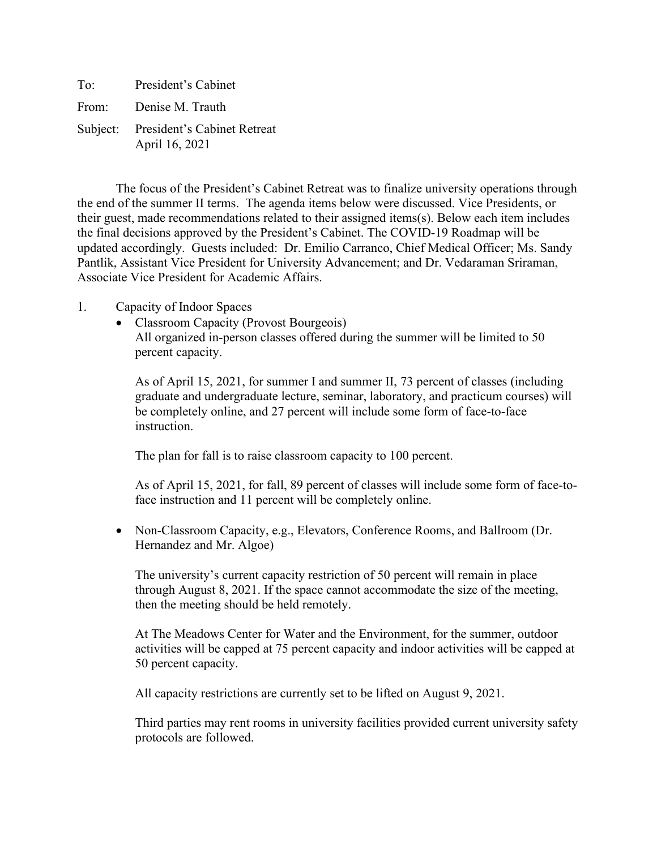To: President's Cabinet From: Denise M. Trauth Subject: President's Cabinet Retreat April 16, 2021

The focus of the President's Cabinet Retreat was to finalize university operations through the end of the summer II terms. The agenda items below were discussed. Vice Presidents, or their guest, made recommendations related to their assigned items(s). Below each item includes the final decisions approved by the President's Cabinet. The COVID-19 Roadmap will be updated accordingly. Guests included: Dr. Emilio Carranco, Chief Medical Officer; Ms. Sandy Pantlik, Assistant Vice President for University Advancement; and Dr. Vedaraman Sriraman, Associate Vice President for Academic Affairs.

- 1. Capacity of Indoor Spaces
	- Classroom Capacity (Provost Bourgeois) All organized in-person classes offered during the summer will be limited to 50 percent capacity.

As of April 15, 2021, for summer I and summer II, 73 percent of classes (including graduate and undergraduate lecture, seminar, laboratory, and practicum courses) will be completely online, and 27 percent will include some form of face-to-face instruction.

The plan for fall is to raise classroom capacity to 100 percent.

As of April 15, 2021, for fall, 89 percent of classes will include some form of face-toface instruction and 11 percent will be completely online.

• Non-Classroom Capacity, e.g., Elevators, Conference Rooms, and Ballroom (Dr. Hernandez and Mr. Algoe)

The university's current capacity restriction of 50 percent will remain in place through August 8, 2021. If the space cannot accommodate the size of the meeting, then the meeting should be held remotely.

At The Meadows Center for Water and the Environment, for the summer, outdoor activities will be capped at 75 percent capacity and indoor activities will be capped at 50 percent capacity.

All capacity restrictions are currently set to be lifted on August 9, 2021.

Third parties may rent rooms in university facilities provided current university safety protocols are followed.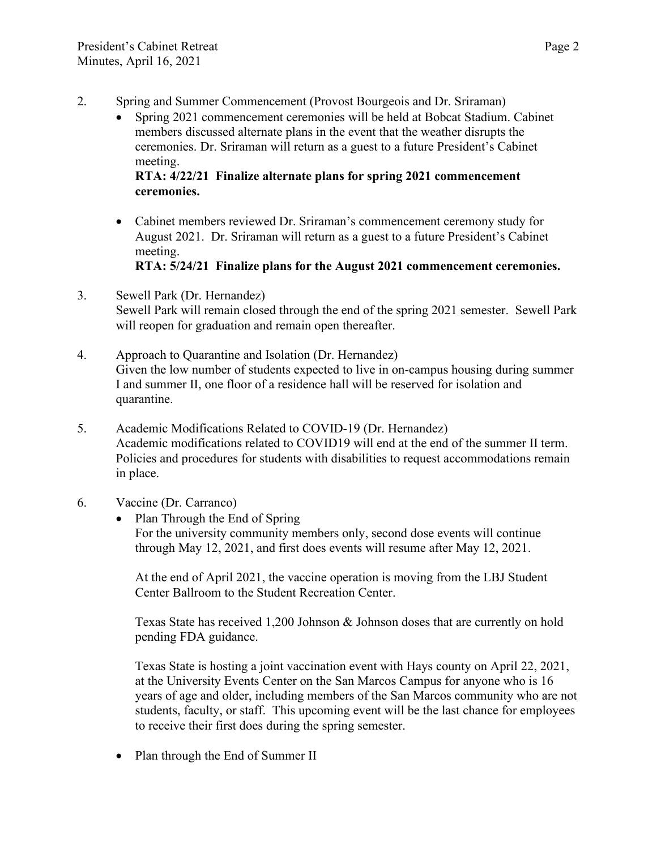- 2. Spring and Summer Commencement (Provost Bourgeois and Dr. Sriraman)
	- Spring 2021 commencement ceremonies will be held at Bobcat Stadium. Cabinet members discussed alternate plans in the event that the weather disrupts the ceremonies. Dr. Sriraman will return as a guest to a future President's Cabinet meeting.

## **RTA: 4/22/21 Finalize alternate plans for spring 2021 commencement ceremonies.**

- Cabinet members reviewed Dr. Sriraman's commencement ceremony study for August 2021. Dr. Sriraman will return as a guest to a future President's Cabinet meeting.
	- **RTA: 5/24/21 Finalize plans for the August 2021 commencement ceremonies.**
- 3. Sewell Park (Dr. Hernandez) Sewell Park will remain closed through the end of the spring 2021 semester. Sewell Park will reopen for graduation and remain open thereafter.
- 4. Approach to Quarantine and Isolation (Dr. Hernandez) Given the low number of students expected to live in on-campus housing during summer I and summer II, one floor of a residence hall will be reserved for isolation and quarantine.
- 5. Academic Modifications Related to COVID-19 (Dr. Hernandez) Academic modifications related to COVID19 will end at the end of the summer II term. Policies and procedures for students with disabilities to request accommodations remain in place.
- 6. Vaccine (Dr. Carranco)
	- Plan Through the End of Spring For the university community members only, second dose events will continue through May 12, 2021, and first does events will resume after May 12, 2021.

At the end of April 2021, the vaccine operation is moving from the LBJ Student Center Ballroom to the Student Recreation Center.

Texas State has received 1,200 Johnson & Johnson doses that are currently on hold pending FDA guidance.

Texas State is hosting a joint vaccination event with Hays county on April 22, 2021, at the University Events Center on the San Marcos Campus for anyone who is 16 years of age and older, including members of the San Marcos community who are not students, faculty, or staff. This upcoming event will be the last chance for employees to receive their first does during the spring semester.

• Plan through the End of Summer II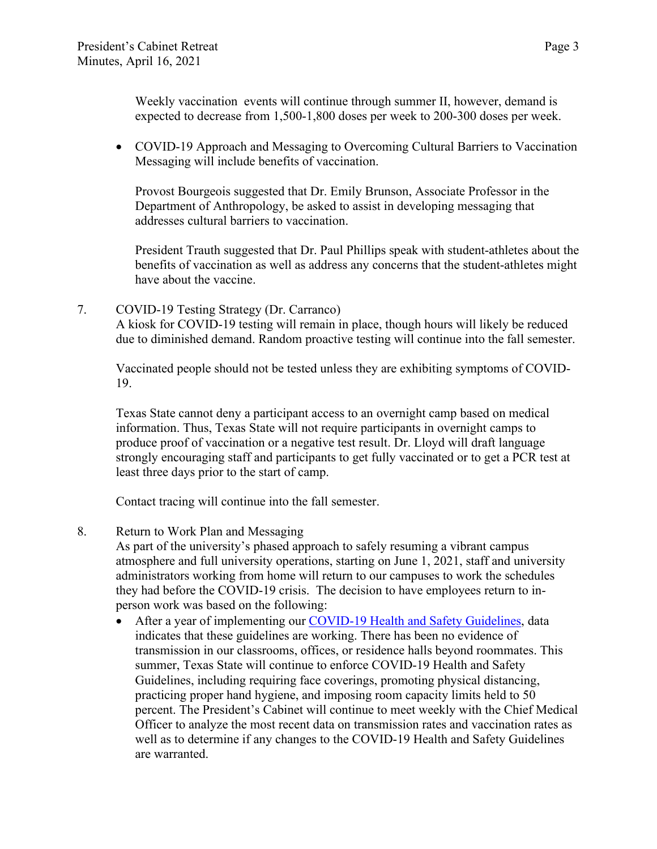Weekly vaccination events will continue through summer II, however, demand is expected to decrease from 1,500-1,800 doses per week to 200-300 doses per week.

• COVID-19 Approach and Messaging to Overcoming Cultural Barriers to Vaccination Messaging will include benefits of vaccination.

Provost Bourgeois suggested that Dr. Emily Brunson, Associate Professor in the Department of Anthropology, be asked to assist in developing messaging that addresses cultural barriers to vaccination.

President Trauth suggested that Dr. Paul Phillips speak with student-athletes about the benefits of vaccination as well as address any concerns that the student-athletes might have about the vaccine.

7. COVID-19 Testing Strategy (Dr. Carranco)

A kiosk for COVID-19 testing will remain in place, though hours will likely be reduced due to diminished demand. Random proactive testing will continue into the fall semester.

Vaccinated people should not be tested unless they are exhibiting symptoms of COVID-19.

Texas State cannot deny a participant access to an overnight camp based on medical information. Thus, Texas State will not require participants in overnight camps to produce proof of vaccination or a negative test result. Dr. Lloyd will draft language strongly encouraging staff and participants to get fully vaccinated or to get a PCR test at least three days prior to the start of camp.

Contact tracing will continue into the fall semester.

8. Return to Work Plan and Messaging

As part of the university's phased approach to safely resuming a vibrant campus atmosphere and full university operations, starting on June 1, 2021, staff and university administrators working from home will return to our campuses to work the schedules they had before the COVID-19 crisis. The decision to have employees return to inperson work was based on the following:

• After a year of implementing our [COVID-19 Health and Safety Guidelines,](https://www.txstate.edu/coronavirus/road-map/health-and-safety-measures.html) data indicates that these guidelines are working. There has been no evidence of transmission in our classrooms, offices, or residence halls beyond roommates. This summer, Texas State will continue to enforce COVID-19 Health and Safety Guidelines, including requiring face coverings, promoting physical distancing, practicing proper hand hygiene, and imposing room capacity limits held to 50 percent. The President's Cabinet will continue to meet weekly with the Chief Medical Officer to analyze the most recent data on transmission rates and vaccination rates as well as to determine if any changes to the COVID-19 Health and Safety Guidelines are warranted.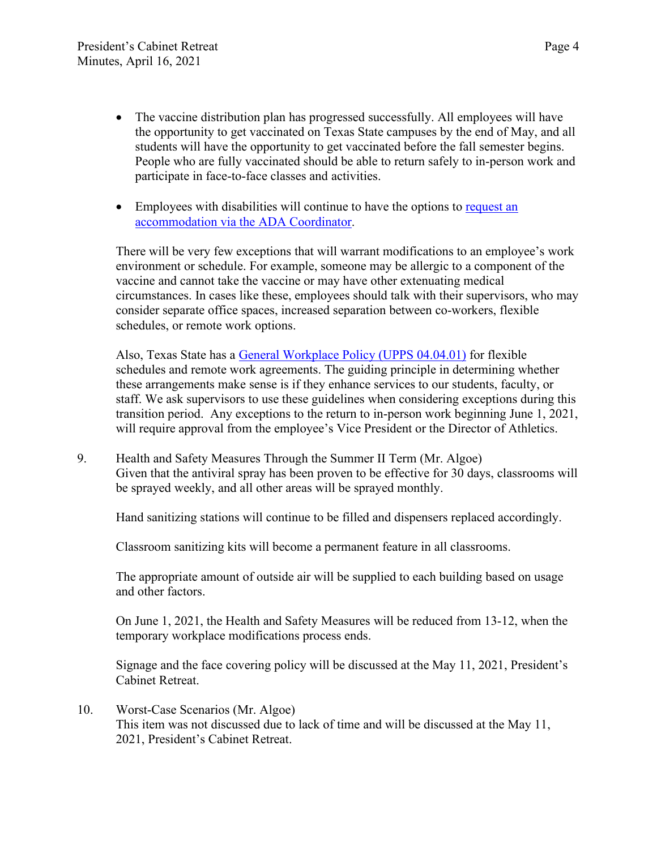- The vaccine distribution plan has progressed successfully. All employees will have the opportunity to get vaccinated on Texas State campuses by the end of May, and all students will have the opportunity to get vaccinated before the fall semester begins. People who are fully vaccinated should be able to return safely to in-person work and participate in face-to-face classes and activities.
- Employees with disabilities will continue to have the options to request an [accommodation via the ADA Coordinator.](https://compliance.txstate.edu/ada/)

There will be very few exceptions that will warrant modifications to an employee's work environment or schedule. For example, someone may be allergic to a component of the vaccine and cannot take the vaccine or may have other extenuating medical circumstances. In cases like these, employees should talk with their supervisors, who may consider separate office spaces, increased separation between co-workers, flexible schedules, or remote work options.

Also, Texas State has a [General Workplace Policy \(UPPS 04.04.01\)](https://policies.txstate.edu/university-policies/04-04-01.html) for flexible schedules and remote work agreements. The guiding principle in determining whether these arrangements make sense is if they enhance services to our students, faculty, or staff. We ask supervisors to use these guidelines when considering exceptions during this transition period. Any exceptions to the return to in-person work beginning June 1, 2021, will require approval from the employee's Vice President or the Director of Athletics.

9. Health and Safety Measures Through the Summer II Term (Mr. Algoe) Given that the antiviral spray has been proven to be effective for 30 days, classrooms will be sprayed weekly, and all other areas will be sprayed monthly.

Hand sanitizing stations will continue to be filled and dispensers replaced accordingly.

Classroom sanitizing kits will become a permanent feature in all classrooms.

The appropriate amount of outside air will be supplied to each building based on usage and other factors.

On June 1, 2021, the Health and Safety Measures will be reduced from 13-12, when the temporary workplace modifications process ends.

Signage and the face covering policy will be discussed at the May 11, 2021, President's Cabinet Retreat.

10. Worst-Case Scenarios (Mr. Algoe) This item was not discussed due to lack of time and will be discussed at the May 11, 2021, President's Cabinet Retreat.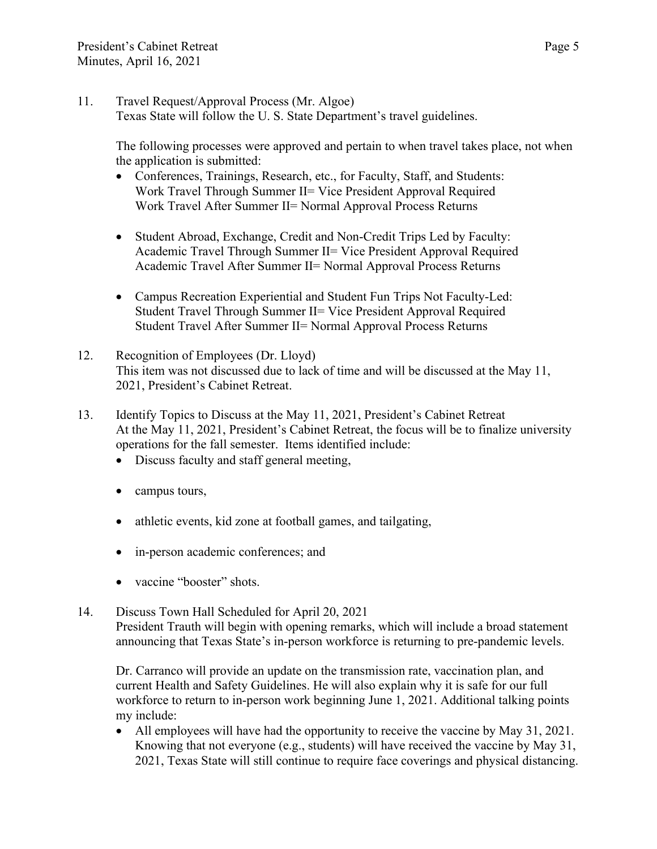11. Travel Request/Approval Process (Mr. Algoe) Texas State will follow the U. S. State Department's travel guidelines.

The following processes were approved and pertain to when travel takes place, not when the application is submitted:

- Conferences, Trainings, Research, etc., for Faculty, Staff, and Students: Work Travel Through Summer II= Vice President Approval Required Work Travel After Summer II= Normal Approval Process Returns
- Student Abroad, Exchange, Credit and Non-Credit Trips Led by Faculty: Academic Travel Through Summer II= Vice President Approval Required Academic Travel After Summer II= Normal Approval Process Returns
- Campus Recreation Experiential and Student Fun Trips Not Faculty-Led: Student Travel Through Summer II= Vice President Approval Required Student Travel After Summer II= Normal Approval Process Returns
- 12. Recognition of Employees (Dr. Lloyd) This item was not discussed due to lack of time and will be discussed at the May 11, 2021, President's Cabinet Retreat.
- 13. Identify Topics to Discuss at the May 11, 2021, President's Cabinet Retreat At the May 11, 2021, President's Cabinet Retreat, the focus will be to finalize university operations for the fall semester. Items identified include:
	- Discuss faculty and staff general meeting,
	- campus tours,
	- athletic events, kid zone at football games, and tailgating,
	- in-person academic conferences; and
	- vaccine "booster" shots.

## 14. Discuss Town Hall Scheduled for April 20, 2021

President Trauth will begin with opening remarks, which will include a broad statement announcing that Texas State's in-person workforce is returning to pre-pandemic levels.

Dr. Carranco will provide an update on the transmission rate, vaccination plan, and current Health and Safety Guidelines. He will also explain why it is safe for our full workforce to return to in-person work beginning June 1, 2021. Additional talking points my include:

• All employees will have had the opportunity to receive the vaccine by May 31, 2021. Knowing that not everyone (e.g., students) will have received the vaccine by May 31, 2021, Texas State will still continue to require face coverings and physical distancing.